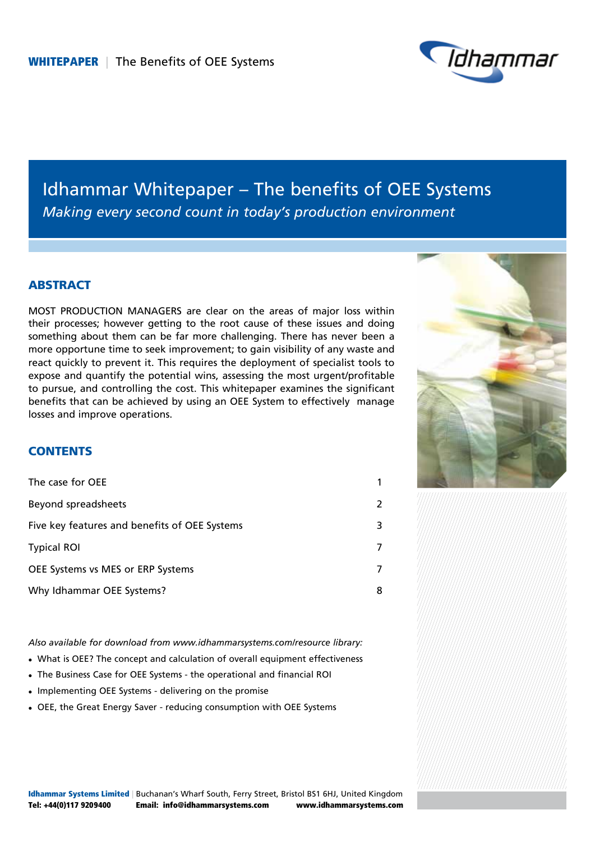

# Idhammar Whitepaper – The benefits of OEE Systems *Making every second count in today's production environment*

## **ABSTRACT**

MOST PRODUCTION MANAGERS are clear on the areas of major loss within their processes; however getting to the root cause of these issues and doing something about them can be far more challenging. There has never been a more opportune time to seek improvement; to gain visibility of any waste and react quickly to prevent it. This requires the deployment of specialist tools to expose and quantify the potential wins, assessing the most urgent/profitable to pursue, and controlling the cost. This whitepaper examines the significant benefits that can be achieved by using an OEE System to effectively manage losses and improve operations.



## **CONTENTS**

| The case for OEE                              | 1                       |
|-----------------------------------------------|-------------------------|
| Beyond spreadsheets                           | $\overline{\mathbf{c}}$ |
| Five key features and benefits of OEE Systems | 3                       |
| <b>Typical ROI</b>                            | 7                       |
| OEE Systems vs MES or ERP Systems             | 7                       |
| Why Idhammar OEE Systems?                     | 8                       |

*Also available for download from www.idhammarsystems.com/resource library:*

- What is OEE? The concept and calculation of overall equipment effectiveness
- The Business Case for OEE Systems the operational and financial ROI
- Implementing OEE Systems delivering on the promise
- OEE, the Great Energy Saver reducing consumption with OEE Systems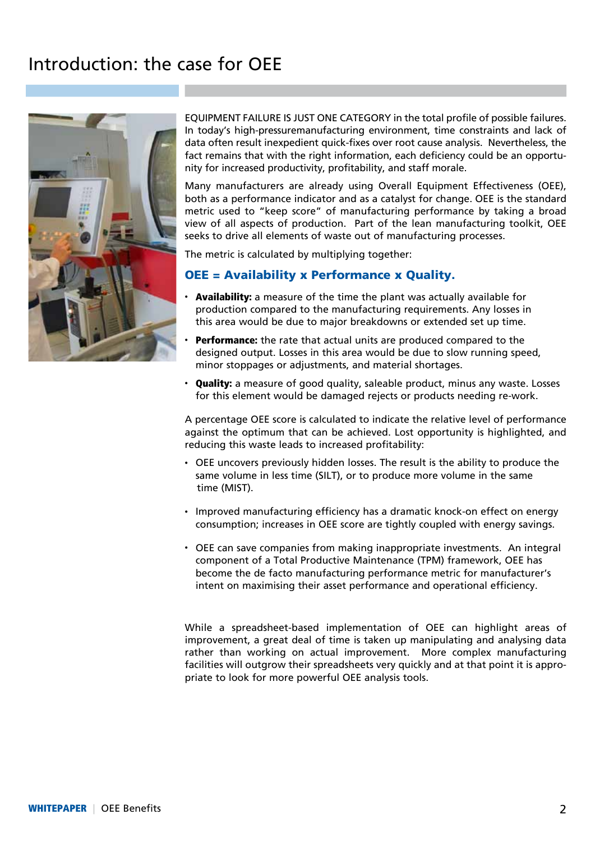# Introduction: the case for OEE



Equipment failure is just one category in the total profile of possible failures. In today's high-pressuremanufacturing environment, time constraints and lack of data often result inexpedient quick-fixes over root cause analysis. Nevertheless, the fact remains that with the right information, each deficiency could be an opportunity for increased productivity, profitability, and staff morale.

Many manufacturers are already using Overall Equipment Effectiveness (OEE), both as a performance indicator and as a catalyst for change. OEE is the standard metric used to "keep score" of manufacturing performance by taking a broad view of all aspects of production. Part of the lean manufacturing toolkit, OEE seeks to drive all elements of waste out of manufacturing processes.

The metric is calculated by multiplying together:

### OEE = Availability x Performance x Quality.

- **Availability:** a measure of the time the plant was actually available for production compared to the manufacturing requirements. Any losses in this area would be due to major breakdowns or extended set up time.
- Performance: the rate that actual units are produced compared to the designed output. Losses in this area would be due to slow running speed, minor stoppages or adjustments, and material shortages.
- Quality: a measure of good quality, saleable product, minus any waste. Losses for this element would be damaged rejects or products needing re-work.

A percentage OEE score is calculated to indicate the relative level of performance against the optimum that can be achieved. Lost opportunity is highlighted, and reducing this waste leads to increased profitability:

- OEE uncovers previously hidden losses. The result is the ability to produce the same volume in less time (SILT), or to produce more volume in the same time (MIST).
- Improved manufacturing efficiency has a dramatic knock-on effect on energy consumption; increases in OEE score are tightly coupled with energy savings.
- OEE can save companies from making inappropriate investments. An integral component of a Total Productive Maintenance (TPM) framework, OEE has become the de facto manufacturing performance metric for manufacturer's intent on maximising their asset performance and operational efficiency.

While a spreadsheet-based implementation of OEE can highlight areas of improvement, a great deal of time is taken up manipulating and analysing data rather than working on actual improvement. More complex manufacturing facilities will outgrow their spreadsheets very quickly and at that point it is appropriate to look for more powerful OEE analysis tools.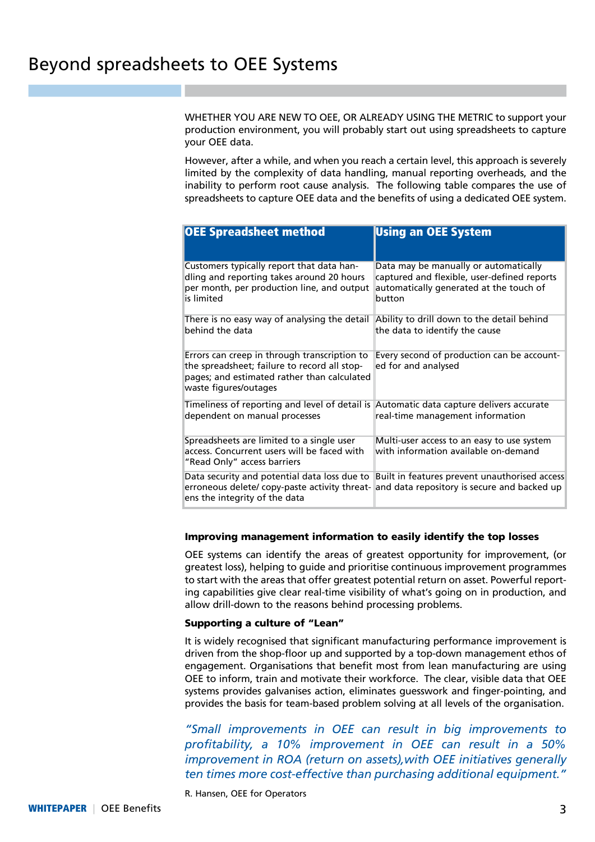Whether you Are new to oee, or already using the metric to support your production environment, you will probably start out using spreadsheets to capture your OEE data.

However, after a while, and when you reach a certain level, this approach is severely limited by the complexity of data handling, manual reporting overheads, and the inability to perform root cause analysis. The following table compares the use of spreadsheets to capture OEE data and the benefits of using a dedicated OEE system.

| OEE Spreadsheet method                                                                                                                                               | <b>Using an OEE System</b>                                                                                                                |
|----------------------------------------------------------------------------------------------------------------------------------------------------------------------|-------------------------------------------------------------------------------------------------------------------------------------------|
| Customers typically report that data han-<br>dling and reporting takes around 20 hours<br>per month, per production line, and output<br>is limited                   | Data may be manually or automatically<br>captured and flexible, user-defined reports<br>automatically generated at the touch of<br>button |
| There is no easy way of analysing the detail<br>behind the data                                                                                                      | Ability to drill down to the detail behind<br>the data to identify the cause                                                              |
| Errors can creep in through transcription to<br>the spreadsheet; failure to record all stop-<br>pages; and estimated rather than calculated<br>waste figures/outages | Every second of production can be account-<br>ed for and analysed                                                                         |
| Timeliness of reporting and level of detail is<br>dependent on manual processes                                                                                      | Automatic data capture delivers accurate<br>real-time management information                                                              |
| Spreadsheets are limited to a single user<br>access. Concurrent users will be faced with<br>"Read Only" access barriers                                              | Multi-user access to an easy to use system<br>with information available on-demand                                                        |
| Data security and potential data loss due to<br>erroneous delete/ copy-paste activity threat-<br>ens the integrity of the data                                       | Built in features prevent unauthorised access<br>and data repository is secure and backed up                                              |

#### Improving management information to easily identify the top losses

OEE systems can identify the areas of greatest opportunity for improvement, (or greatest loss), helping to guide and prioritise continuous improvement programmes to start with the areas that offer greatest potential return on asset. Powerful reporting capabilities give clear real-time visibility of what's going on in production, and allow drill-down to the reasons behind processing problems.

#### Supporting a culture of "Lean"

It is widely recognised that significant manufacturing performance improvement is driven from the shop-floor up and supported by a top-down management ethos of engagement. Organisations that benefit most from lean manufacturing are using OEE to inform, train and motivate their workforce. The clear, visible data that OEE systems provides galvanises action, eliminates guesswork and finger-pointing, and provides the basis for team-based problem solving at all levels of the organisation.

*"Small improvements in OEE can result in big improvements to profitability, a 10% improvement in OEE can result in a 50% improvement in ROA (return on assets),with OEE initiatives generally ten times more cost-effective than purchasing additional equipment."*

R. Hansen, OEE for Operators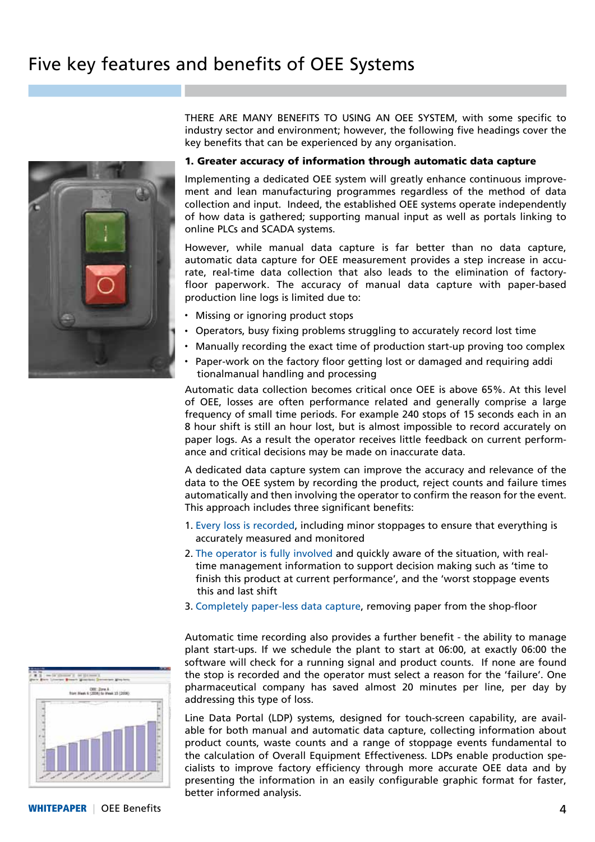# Five key features and benefits of OEE Systems



There are many benefits to using an oee system, with some specific to industry sector and environment; however, the following five headings cover the key benefits that can be experienced by any organisation.

#### 1. Greater accuracy of information through automatic data capture

Implementing a dedicated OEE system will greatly enhance continuous improvement and lean manufacturing programmes regardless of the method of data collection and input. Indeed, the established OEE systems operate independently of how data is gathered; supporting manual input as well as portals linking to online PLCs and SCADA systems.

However, while manual data capture is far better than no data capture, automatic data capture for OEE measurement provides a step increase in accurate, real-time data collection that also leads to the elimination of factoryfloor paperwork. The accuracy of manual data capture with paper-based production line logs is limited due to:

- Missing or ignoring product stops
- Operators, busy fixing problems struggling to accurately record lost time
- <sup>l</sup> Manually recording the exact time of production start-up proving too complex
- Paper-work on the factory floor getting lost or damaged and requiring addi tionalmanual handling and processing

Automatic data collection becomes critical once OEE is above 65%. At this level of OEE, losses are often performance related and generally comprise a large frequency of small time periods. For example 240 stops of 15 seconds each in an 8 hour shift is still an hour lost, but is almost impossible to record accurately on paper logs. As a result the operator receives little feedback on current performance and critical decisions may be made on inaccurate data.

A dedicated data capture system can improve the accuracy and relevance of the data to the OEE system by recording the product, reject counts and failure times automatically and then involving the operator to confirm the reason for the event. This approach includes three significant benefits:

- 1. Every loss is recorded, including minor stoppages to ensure that everything is accurately measured and monitored
- 2. The operator is fully involved and quickly aware of the situation, with realtime management information to support decision making such as 'time to finish this product at current performance', and the 'worst stoppage events this and last shift
- 3. Completely paper-less data capture, removing paper from the shop-floor

Automatic time recording also provides a further benefit - the ability to manage plant start-ups. If we schedule the plant to start at 06:00, at exactly 06:00 the software will check for a running signal and product counts. If none are found the stop is recorded and the operator must select a reason for the 'failure'. One pharmaceutical company has saved almost 20 minutes per line, per day by addressing this type of loss.

Line Data Portal (LDP) systems, designed for touch-screen capability, are available for both manual and automatic data capture, collecting information about product counts, waste counts and a range of stoppage events fundamental to the calculation of Overall Equipment Effectiveness. LDPs enable production specialists to improve factory efficiency through more accurate OEE data and by presenting the information in an easily configurable graphic format for faster, better informed analysis.

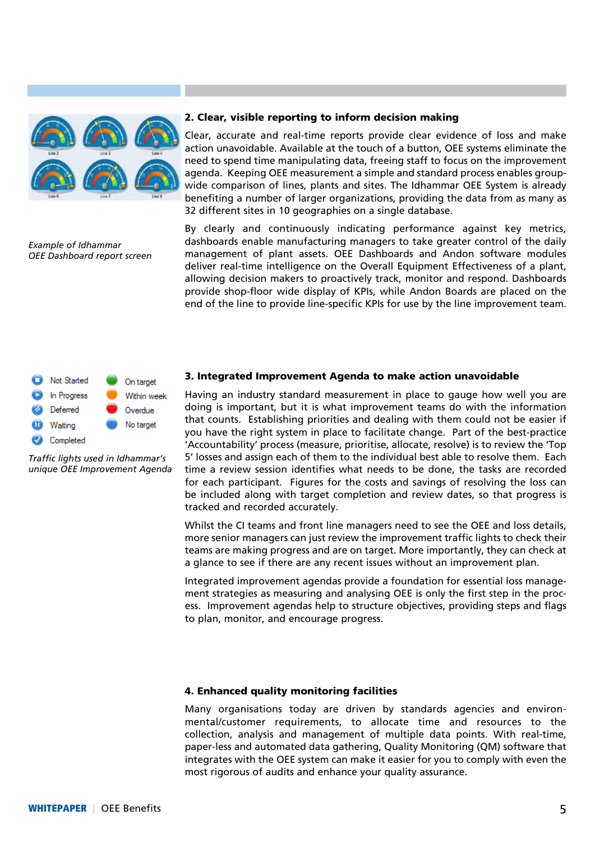

*Example of Idhammar OEE Dashboard report screen*

#### 2. Clear, visible reporting to inform decision making

Clear, accurate and real-time reports provide clear evidence of loss and make action unavoidable. Available at the touch of a button, OEE systems eliminate the need to spend time manipulating data, freeing staff to focus on the improvement agenda. Keeping OEE measurement a simple and standard process enables groupwide comparison of lines, plants and sites. The Idhammar OEE System is already benefiting a number of larger organizations, providing the data from as many as 32 different sites in 10 geographies on a single database.

By clearly and continuously indicating performance against key metrics, dashboards enable manufacturing managers to take greater control of the daily management of plant assets. OEE Dashboards and Andon software modules deliver real-time intelligence on the Overall Equipment Effectiveness of a plant, allowing decision makers to proactively track, monitor and respond. Dashboards provide shop-floor wide display of KPIs, while Andon Boards are placed on the end of the line to provide line-specific KPIs for use by the line improvement team.



*Traffic lights used in Idhammar's unique OEE Improvement Agenda*

#### 3. Integrated Improvement Agenda to make action unavoidable

Having an industry standard measurement in place to gauge how well you are doing is important, but it is what improvement teams do with the information that counts. Establishing priorities and dealing with them could not be easier if you have the right system in place to facilitate change. Part of the best-practice 'Accountability' process (measure, prioritise, allocate, resolve) is to review the 'Top 5' losses and assign each of them to the individual best able to resolve them. Each time a review session identifies what needs to be done, the tasks are recorded for each participant. Figures for the costs and savings of resolving the loss can be included along with target completion and review dates, so that progress is tracked and recorded accurately.

Whilst the CI teams and front line managers need to see the OEE and loss details, more senior managers can just review the improvement traffic lights to check their teams are making progress and are on target. More importantly, they can check at a glance to see if there are any recent issues without an improvement plan.

Integrated improvement agendas provide a foundation for essential loss management strategies as measuring and analysing OEE is only the first step in the process. Improvement agendas help to structure objectives, providing steps and flags to plan, monitor, and encourage progress.

#### 4. Enhanced quality monitoring facilities

Many organisations today are driven by standards agencies and environmental/customer requirements, to allocate time and resources to the collection, analysis and management of multiple data points. With real-time, paper-less and automated data gathering, Quality Monitoring (QM) software that integrates with the OEE system can make it easier for you to comply with even the most rigorous of audits and enhance your quality assurance.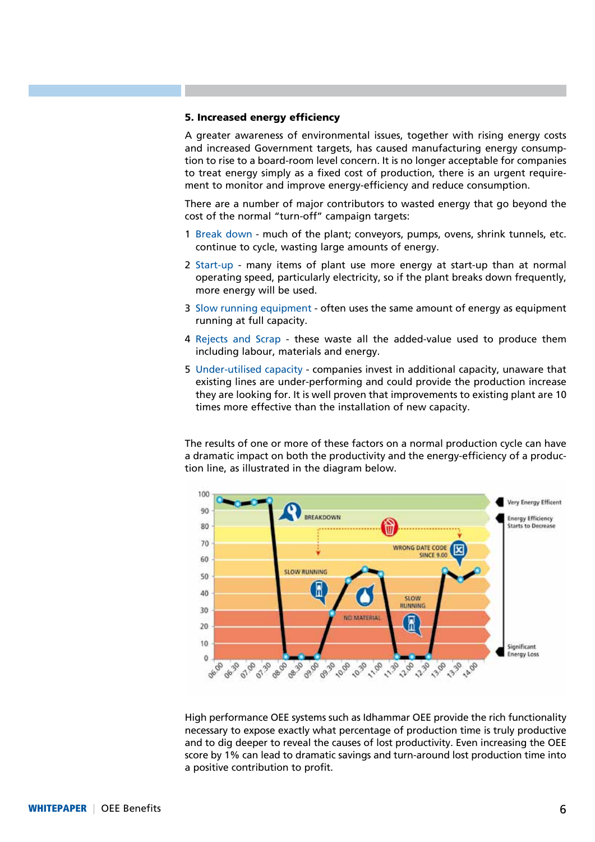#### 5. Increased energy efficiency

A greater awareness of environmental issues, together with rising energy costs and increased Government targets, has caused manufacturing energy consumption to rise to a board-room level concern. It is no longer acceptable for companies to treat energy simply as a fixed cost of production, there is an urgent requirement to monitor and improve energy-efficiency and reduce consumption.

There are a number of major contributors to wasted energy that go beyond the cost of the normal "turn-off" campaign targets:

- 1 Break down much of the plant; conveyors, pumps, ovens, shrink tunnels, etc. continue to cycle, wasting large amounts of energy.
- 2 Start-up many items of plant use more energy at start-up than at normal operating speed, particularly electricity, so if the plant breaks down frequently, more energy will be used.
- 3 Slow running equipment often uses the same amount of energy as equipment running at full capacity.
- 4 Rejects and Scrap these waste all the added-value used to produce them including labour, materials and energy.
- 5 Under-utilised capacity companies invest in additional capacity, unaware that existing lines are under-performing and could provide the production increase they are looking for. It is well proven that improvements to existing plant are 10 times more effective than the installation of new capacity.

The results of one or more of these factors on a normal production cycle can have a dramatic impact on both the productivity and the energy-efficiency of a production line, as illustrated in the diagram below.



High performance OEE systems such as Idhammar OEE provide the rich functionality necessary to expose exactly what percentage of production time is truly productive and to dig deeper to reveal the causes of lost productivity. Even increasing the OEE score by 1% can lead to dramatic savings and turn-around lost production time into a positive contribution to profit.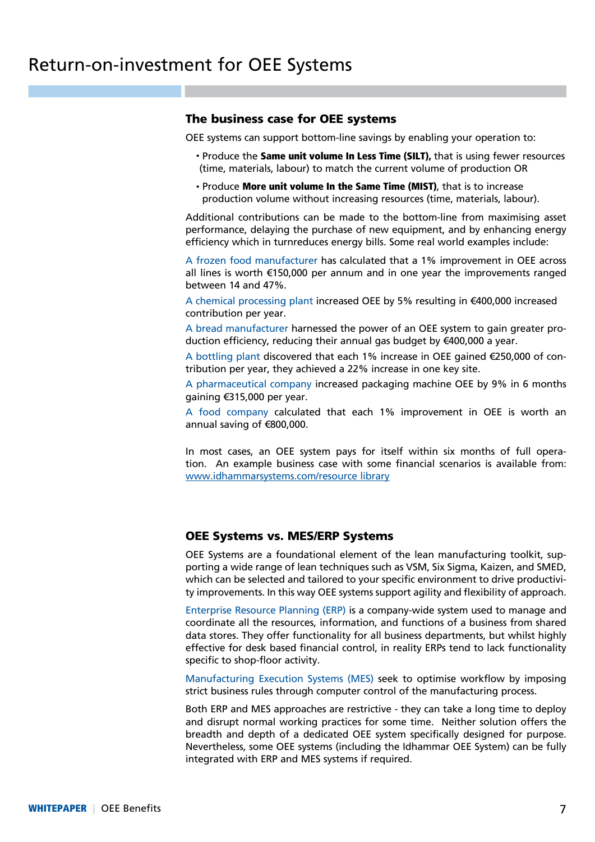## The business case for OEE systems

OEE systems can support bottom-line savings by enabling your operation to:

- Produce the Same unit volume In Less Time (SILT), that is using fewer resources (time, materials, labour) to match the current volume of production OR
- Produce More unit volume In the Same Time (MIST), that is to increase production volume without increasing resources (time, materials, labour).

Additional contributions can be made to the bottom-line from maximising asset performance, delaying the purchase of new equipment, and by enhancing energy efficiency which in turnreduces energy bills. Some real world examples include:

A frozen food manufacturer has calculated that a 1% improvement in OEE across all lines is worth €150,000 per annum and in one year the improvements ranged between 14 and 47%.

A chemical processing plant increased OEE by 5% resulting in €400,000 increased contribution per year.

A bread manufacturer harnessed the power of an OEE system to gain greater production efficiency, reducing their annual gas budget by €400,000 a year.

A bottling plant discovered that each 1% increase in OEE gained €250,000 of contribution per year, they achieved a 22% increase in one key site.

A pharmaceutical company increased packaging machine OEE by 9% in 6 months gaining €315,000 per year.

A food company calculated that each 1% improvement in OEE is worth an annual saving of €800,000.

In most cases, an OEE system pays for itself within six months of full operation. An example business case with some financial scenarios is available from: www.idhammarsystems.com/resource library

### OEE Systems vs. MES/ERP Systems

OEE Systems are a foundational element of the lean manufacturing toolkit, supporting a wide range of lean techniques such as VSM, Six Sigma, Kaizen, and SMED, which can be selected and tailored to your specific environment to drive productivity improvements. In this way OEE systems support agility and flexibility of approach.

Enterprise Resource Planning (ERP) is a company-wide system used to manage and coordinate all the resources, information, and functions of a business from shared data stores. They offer functionality for all business departments, but whilst highly effective for desk based financial control, in reality ERPs tend to lack functionality specific to shop-floor activity.

Manufacturing Execution Systems (MES) seek to optimise workflow by imposing strict business rules through computer control of the manufacturing process.

Both ERP and MES approaches are restrictive - they can take a long time to deploy and disrupt normal working practices for some time. Neither solution offers the breadth and depth of a dedicated OEE system specifically designed for purpose. Nevertheless, some OEE systems (including the Idhammar OEE System) can be fully integrated with ERP and MES systems if required.